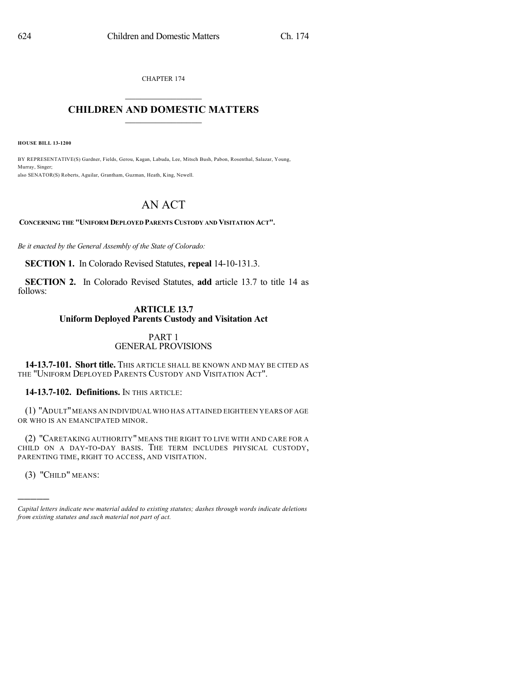CHAPTER 174

## $\mathcal{L}_\text{max}$  . The set of the set of the set of the set of the set of the set of the set of the set of the set of the set of the set of the set of the set of the set of the set of the set of the set of the set of the set **CHILDREN AND DOMESTIC MATTERS**  $\_$

**HOUSE BILL 13-1200**

BY REPRESENTATIVE(S) Gardner, Fields, Gerou, Kagan, Labuda, Lee, Mitsch Bush, Pabon, Rosenthal, Salazar, Young, Murray, Singer; also SENATOR(S) Roberts, Aguilar, Grantham, Guzman, Heath, King, Newell.

# AN ACT

**CONCERNING THE "UNIFORM DEPLOYED PARENTS CUSTODY AND VISITATION ACT".**

*Be it enacted by the General Assembly of the State of Colorado:*

**SECTION 1.** In Colorado Revised Statutes, **repeal** 14-10-131.3.

**SECTION 2.** In Colorado Revised Statutes, **add** article 13.7 to title 14 as follows:

## **ARTICLE 13.7 Uniform Deployed Parents Custody and Visitation Act**

## PART 1 GENERAL PROVISIONS

**14-13.7-101. Short title.** THIS ARTICLE SHALL BE KNOWN AND MAY BE CITED AS THE "UNIFORM DEPLOYED PARENTS CUSTODY AND VISITATION ACT".

**14-13.7-102. Definitions.** IN THIS ARTICLE:

(1) "ADULT"MEANS AN INDIVIDUAL WHO HAS ATTAINED EIGHTEEN YEARS OF AGE OR WHO IS AN EMANCIPATED MINOR.

(2) "CARETAKING AUTHORITY" MEANS THE RIGHT TO LIVE WITH AND CARE FOR A CHILD ON A DAY-TO-DAY BASIS. THE TERM INCLUDES PHYSICAL CUSTODY, PARENTING TIME, RIGHT TO ACCESS, AND VISITATION.

(3) "CHILD" MEANS:

)))))

*Capital letters indicate new material added to existing statutes; dashes through words indicate deletions from existing statutes and such material not part of act.*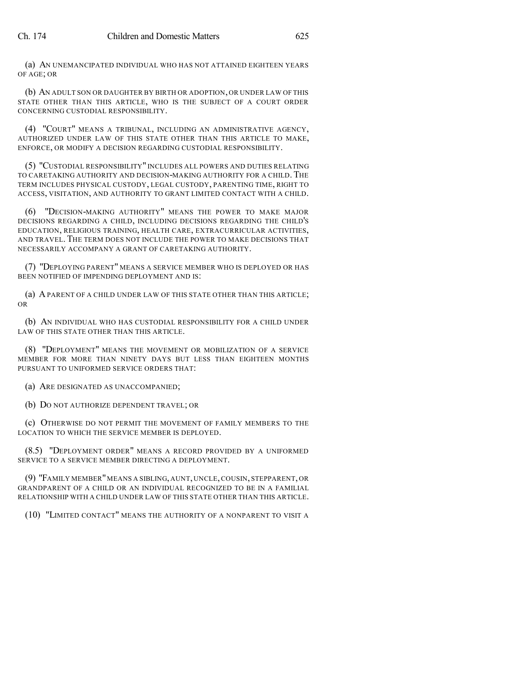(a) AN UNEMANCIPATED INDIVIDUAL WHO HAS NOT ATTAINED EIGHTEEN YEARS OF AGE; OR

(b) AN ADULT SON OR DAUGHTER BY BIRTH OR ADOPTION, OR UNDER LAW OF THIS STATE OTHER THAN THIS ARTICLE, WHO IS THE SUBJECT OF A COURT ORDER CONCERNING CUSTODIAL RESPONSIBILITY.

(4) "COURT" MEANS A TRIBUNAL, INCLUDING AN ADMINISTRATIVE AGENCY, AUTHORIZED UNDER LAW OF THIS STATE OTHER THAN THIS ARTICLE TO MAKE, ENFORCE, OR MODIFY A DECISION REGARDING CUSTODIAL RESPONSIBILITY.

(5) "CUSTODIAL RESPONSIBILITY" INCLUDES ALL POWERS AND DUTIES RELATING TO CARETAKING AUTHORITY AND DECISION-MAKING AUTHORITY FOR A CHILD. THE TERM INCLUDES PHYSICAL CUSTODY, LEGAL CUSTODY, PARENTING TIME, RIGHT TO ACCESS, VISITATION, AND AUTHORITY TO GRANT LIMITED CONTACT WITH A CHILD.

(6) "DECISION-MAKING AUTHORITY" MEANS THE POWER TO MAKE MAJOR DECISIONS REGARDING A CHILD, INCLUDING DECISIONS REGARDING THE CHILD'S EDUCATION, RELIGIOUS TRAINING, HEALTH CARE, EXTRACURRICULAR ACTIVITIES, AND TRAVEL. THE TERM DOES NOT INCLUDE THE POWER TO MAKE DECISIONS THAT NECESSARILY ACCOMPANY A GRANT OF CARETAKING AUTHORITY.

(7) "DEPLOYING PARENT" MEANS A SERVICE MEMBER WHO IS DEPLOYED OR HAS BEEN NOTIFIED OF IMPENDING DEPLOYMENT AND IS:

(a) APARENT OF A CHILD UNDER LAW OF THIS STATE OTHER THAN THIS ARTICLE; OR

(b) AN INDIVIDUAL WHO HAS CUSTODIAL RESPONSIBILITY FOR A CHILD UNDER LAW OF THIS STATE OTHER THAN THIS ARTICLE.

(8) "DEPLOYMENT" MEANS THE MOVEMENT OR MOBILIZATION OF A SERVICE MEMBER FOR MORE THAN NINETY DAYS BUT LESS THAN EIGHTEEN MONTHS PURSUANT TO UNIFORMED SERVICE ORDERS THAT:

(a) ARE DESIGNATED AS UNACCOMPANIED;

(b) DO NOT AUTHORIZE DEPENDENT TRAVEL; OR

(c) OTHERWISE DO NOT PERMIT THE MOVEMENT OF FAMILY MEMBERS TO THE LOCATION TO WHICH THE SERVICE MEMBER IS DEPLOYED.

(8.5) "DEPLOYMENT ORDER" MEANS A RECORD PROVIDED BY A UNIFORMED SERVICE TO A SERVICE MEMBER DIRECTING A DEPLOYMENT.

(9) "FAMILY MEMBER"MEANS A SIBLING, AUNT, UNCLE, COUSIN, STEPPARENT, OR GRANDPARENT OF A CHILD OR AN INDIVIDUAL RECOGNIZED TO BE IN A FAMILIAL RELATIONSHIP WITH A CHILD UNDER LAW OF THIS STATE OTHER THAN THIS ARTICLE.

(10) "LIMITED CONTACT" MEANS THE AUTHORITY OF A NONPARENT TO VISIT A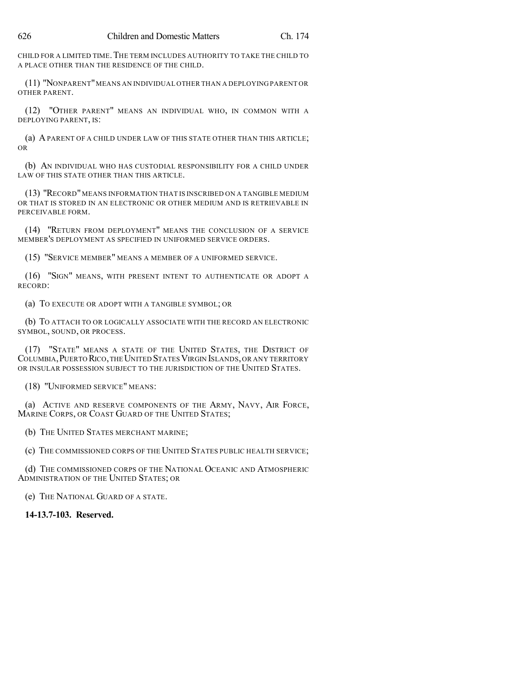CHILD FOR A LIMITED TIME. THE TERM INCLUDES AUTHORITY TO TAKE THE CHILD TO A PLACE OTHER THAN THE RESIDENCE OF THE CHILD.

(11) "NONPARENT"MEANS AN INDIVIDUAL OTHER THAN A DEPLOYING PARENT OR OTHER PARENT.

(12) "OTHER PARENT" MEANS AN INDIVIDUAL WHO, IN COMMON WITH A DEPLOYING PARENT, IS:

(a) APARENT OF A CHILD UNDER LAW OF THIS STATE OTHER THAN THIS ARTICLE; OR

(b) AN INDIVIDUAL WHO HAS CUSTODIAL RESPONSIBILITY FOR A CHILD UNDER LAW OF THIS STATE OTHER THAN THIS ARTICLE.

(13) "RECORD"MEANS INFORMATION THAT IS INSCRIBED ON A TANGIBLE MEDIUM OR THAT IS STORED IN AN ELECTRONIC OR OTHER MEDIUM AND IS RETRIEVABLE IN PERCEIVABLE FORM.

(14) "RETURN FROM DEPLOYMENT" MEANS THE CONCLUSION OF A SERVICE MEMBER'S DEPLOYMENT AS SPECIFIED IN UNIFORMED SERVICE ORDERS.

(15) "SERVICE MEMBER" MEANS A MEMBER OF A UNIFORMED SERVICE.

(16) "SIGN" MEANS, WITH PRESENT INTENT TO AUTHENTICATE OR ADOPT A RECORD:

(a) TO EXECUTE OR ADOPT WITH A TANGIBLE SYMBOL; OR

(b) TO ATTACH TO OR LOGICALLY ASSOCIATE WITH THE RECORD AN ELECTRONIC SYMBOL, SOUND, OR PROCESS.

(17) "STATE" MEANS A STATE OF THE UNITED STATES, THE DISTRICT OF COLUMBIA, PUERTO RICO, THE UNITED STATES VIRGIN ISLANDS, OR ANY TERRITORY OR INSULAR POSSESSION SUBJECT TO THE JURISDICTION OF THE UNITED STATES.

(18) "UNIFORMED SERVICE" MEANS:

(a) ACTIVE AND RESERVE COMPONENTS OF THE ARMY, NAVY, AIR FORCE, MARINE CORPS, OR COAST GUARD OF THE UNITED STATES;

(b) THE UNITED STATES MERCHANT MARINE;

(c) THE COMMISSIONED CORPS OF THE UNITED STATES PUBLIC HEALTH SERVICE;

(d) THE COMMISSIONED CORPS OF THE NATIONAL OCEANIC AND ATMOSPHERIC ADMINISTRATION OF THE UNITED STATES; OR

(e) THE NATIONAL GUARD OF A STATE.

**14-13.7-103. Reserved.**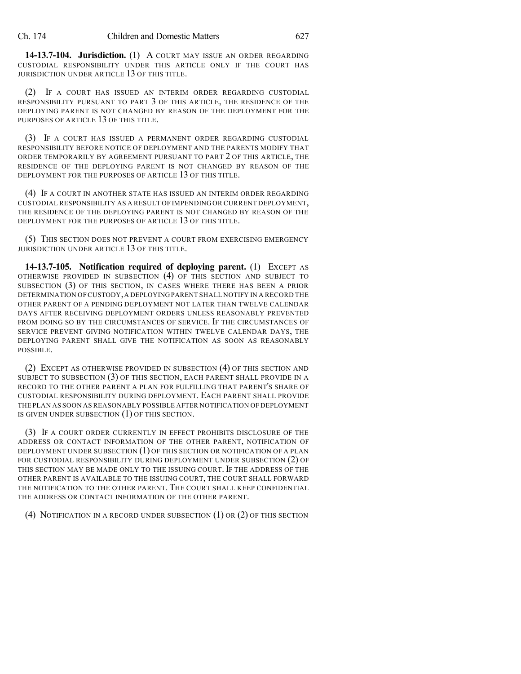**14-13.7-104. Jurisdiction.** (1) A COURT MAY ISSUE AN ORDER REGARDING CUSTODIAL RESPONSIBILITY UNDER THIS ARTICLE ONLY IF THE COURT HAS JURISDICTION UNDER ARTICLE 13 OF THIS TITLE.

(2) IF A COURT HAS ISSUED AN INTERIM ORDER REGARDING CUSTODIAL RESPONSIBILITY PURSUANT TO PART 3 OF THIS ARTICLE, THE RESIDENCE OF THE DEPLOYING PARENT IS NOT CHANGED BY REASON OF THE DEPLOYMENT FOR THE PURPOSES OF ARTICLE 13 OF THIS TITLE.

(3) IF A COURT HAS ISSUED A PERMANENT ORDER REGARDING CUSTODIAL RESPONSIBILITY BEFORE NOTICE OF DEPLOYMENT AND THE PARENTS MODIFY THAT ORDER TEMPORARILY BY AGREEMENT PURSUANT TO PART 2 OF THIS ARTICLE, THE RESIDENCE OF THE DEPLOYING PARENT IS NOT CHANGED BY REASON OF THE DEPLOYMENT FOR THE PURPOSES OF ARTICLE 13 OF THIS TITLE.

(4) IF A COURT IN ANOTHER STATE HAS ISSUED AN INTERIM ORDER REGARDING CUSTODIAL RESPONSIBILITY AS A RESULT OF IMPENDING OR CURRENT DEPLOYMENT, THE RESIDENCE OF THE DEPLOYING PARENT IS NOT CHANGED BY REASON OF THE DEPLOYMENT FOR THE PURPOSES OF ARTICLE 13 OF THIS TITLE.

(5) THIS SECTION DOES NOT PREVENT A COURT FROM EXERCISING EMERGENCY JURISDICTION UNDER ARTICLE 13 OF THIS TITLE.

**14-13.7-105. Notification required of deploying parent.** (1) EXCEPT AS OTHERWISE PROVIDED IN SUBSECTION (4) OF THIS SECTION AND SUBJECT TO SUBSECTION (3) OF THIS SECTION, IN CASES WHERE THERE HAS BEEN A PRIOR DETERMINATION OF CUSTODY,A DEPLOYINGPARENT SHALL NOTIFY IN A RECORD THE OTHER PARENT OF A PENDING DEPLOYMENT NOT LATER THAN TWELVE CALENDAR DAYS AFTER RECEIVING DEPLOYMENT ORDERS UNLESS REASONABLY PREVENTED FROM DOING SO BY THE CIRCUMSTANCES OF SERVICE. IF THE CIRCUMSTANCES OF SERVICE PREVENT GIVING NOTIFICATION WITHIN TWELVE CALENDAR DAYS, THE DEPLOYING PARENT SHALL GIVE THE NOTIFICATION AS SOON AS REASONABLY POSSIBLE.

(2) EXCEPT AS OTHERWISE PROVIDED IN SUBSECTION (4) OF THIS SECTION AND SUBJECT TO SUBSECTION (3) OF THIS SECTION, EACH PARENT SHALL PROVIDE IN A RECORD TO THE OTHER PARENT A PLAN FOR FULFILLING THAT PARENT'S SHARE OF CUSTODIAL RESPONSIBILITY DURING DEPLOYMENT. EACH PARENT SHALL PROVIDE THE PLAN AS SOON AS REASONABLY POSSIBLE AFTER NOTIFICATION OF DEPLOYMENT IS GIVEN UNDER SUBSECTION (1) OF THIS SECTION.

(3) IF A COURT ORDER CURRENTLY IN EFFECT PROHIBITS DISCLOSURE OF THE ADDRESS OR CONTACT INFORMATION OF THE OTHER PARENT, NOTIFICATION OF DEPLOYMENT UNDER SUBSECTION (1) OF THIS SECTION OR NOTIFICATION OF A PLAN FOR CUSTODIAL RESPONSIBILITY DURING DEPLOYMENT UNDER SUBSECTION (2) OF THIS SECTION MAY BE MADE ONLY TO THE ISSUING COURT. IF THE ADDRESS OF THE OTHER PARENT IS AVAILABLE TO THE ISSUING COURT, THE COURT SHALL FORWARD THE NOTIFICATION TO THE OTHER PARENT. THE COURT SHALL KEEP CONFIDENTIAL THE ADDRESS OR CONTACT INFORMATION OF THE OTHER PARENT.

(4) NOTIFICATION IN A RECORD UNDER SUBSECTION (1) OR (2) OF THIS SECTION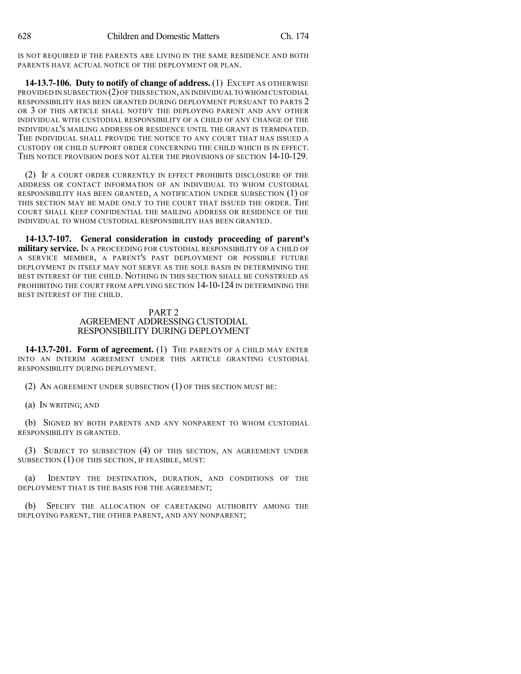IS NOT REQUIRED IF THE PARENTS ARE LIVING IN THE SAME RESIDENCE AND BOTH PARENTS HAVE ACTUAL NOTICE OF THE DEPLOYMENT OR PLAN.

**14-13.7-106. Duty to notify of change of address.** (1) EXCEPT AS OTHERWISE PROVIDED IN SUBSECTION (2)OF THIS SECTION,AN INDIVIDUAL TO WHOM CUSTODIAL RESPONSIBILITY HAS BEEN GRANTED DURING DEPLOYMENT PURSUANT TO PARTS 2 OR 3 OF THIS ARTICLE SHALL NOTIFY THE DEPLOYING PARENT AND ANY OTHER INDIVIDUAL WITH CUSTODIAL RESPONSIBILITY OF A CHILD OF ANY CHANGE OF THE INDIVIDUAL'S MAILING ADDRESS OR RESIDENCE UNTIL THE GRANT IS TERMINATED. THE INDIVIDUAL SHALL PROVIDE THE NOTICE TO ANY COURT THAT HAS ISSUED A CUSTODY OR CHILD SUPPORT ORDER CONCERNING THE CHILD WHICH IS IN EFFECT. THIS NOTICE PROVISION DOES NOT ALTER THE PROVISIONS OF SECTION 14-10-129.

(2) IF A COURT ORDER CURRENTLY IN EFFECT PROHIBITS DISCLOSURE OF THE ADDRESS OR CONTACT INFORMATION OF AN INDIVIDUAL TO WHOM CUSTODIAL RESPONSIBILITY HAS BEEN GRANTED, A NOTIFICATION UNDER SUBSECTION (1) OF THIS SECTION MAY BE MADE ONLY TO THE COURT THAT ISSUED THE ORDER. THE COURT SHALL KEEP CONFIDENTIAL THE MAILING ADDRESS OR RESIDENCE OF THE INDIVIDUAL TO WHOM CUSTODIAL RESPONSIBILITY HAS BEEN GRANTED.

**14-13.7-107. General consideration in custody proceeding of parent's military service.** IN A PROCEEDING FOR CUSTODIAL RESPONSIBILITY OF A CHILD OF A SERVICE MEMBER, A PARENT'S PAST DEPLOYMENT OR POSSIBLE FUTURE DEPLOYMENT IN ITSELF MAY NOT SERVE AS THE SOLE BASIS IN DETERMINING THE BEST INTEREST OF THE CHILD. NOTHING IN THIS SECTION SHALL BE CONSTRUED AS PROHIBITING THE COURT FROM APPLYING SECTION 14-10-124 IN DETERMINING THE BEST INTEREST OF THE CHILD.

#### PART 2 AGREEMENT ADDRESSING CUSTODIAL RESPONSIBILITY DURING DEPLOYMENT

**14-13.7-201. Form of agreement.** (1) THE PARENTS OF A CHILD MAY ENTER INTO AN INTERIM AGREEMENT UNDER THIS ARTICLE GRANTING CUSTODIAL RESPONSIBILITY DURING DEPLOYMENT.

(2) AN AGREEMENT UNDER SUBSECTION (1) OF THIS SECTION MUST BE:

(a) IN WRITING; AND

(b) SIGNED BY BOTH PARENTS AND ANY NONPARENT TO WHOM CUSTODIAL RESPONSIBILITY IS GRANTED.

(3) SUBJECT TO SUBSECTION (4) OF THIS SECTION, AN AGREEMENT UNDER SUBSECTION (1) OF THIS SECTION, IF FEASIBLE, MUST:

(a) IDENTIFY THE DESTINATION, DURATION, AND CONDITIONS OF THE DEPLOYMENT THAT IS THE BASIS FOR THE AGREEMENT;

(b) SPECIFY THE ALLOCATION OF CARETAKING AUTHORITY AMONG THE DEPLOYING PARENT, THE OTHER PARENT, AND ANY NONPARENT;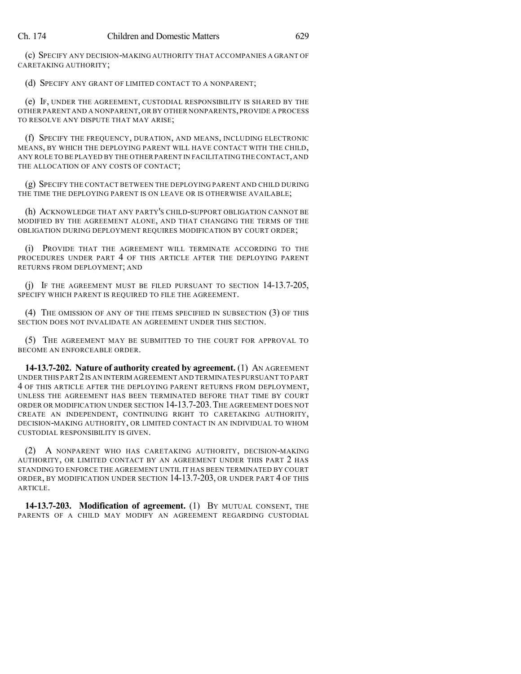(c) SPECIFY ANY DECISION-MAKING AUTHORITY THAT ACCOMPANIES A GRANT OF CARETAKING AUTHORITY;

(d) SPECIFY ANY GRANT OF LIMITED CONTACT TO A NONPARENT;

(e) IF, UNDER THE AGREEMENT, CUSTODIAL RESPONSIBILITY IS SHARED BY THE OTHER PARENT AND A NONPARENT, OR BY OTHER NONPARENTS, PROVIDE A PROCESS TO RESOLVE ANY DISPUTE THAT MAY ARISE;

(f) SPECIFY THE FREQUENCY, DURATION, AND MEANS, INCLUDING ELECTRONIC MEANS, BY WHICH THE DEPLOYING PARENT WILL HAVE CONTACT WITH THE CHILD, ANY ROLE TO BE PLAYED BY THE OTHER PARENT IN FACILITATING THE CONTACT,AND THE ALLOCATION OF ANY COSTS OF CONTACT;

(g) SPECIFY THE CONTACT BETWEEN THE DEPLOYING PARENT AND CHILD DURING THE TIME THE DEPLOYING PARENT IS ON LEAVE OR IS OTHERWISE AVAILABLE;

(h) ACKNOWLEDGE THAT ANY PARTY'S CHILD-SUPPORT OBLIGATION CANNOT BE MODIFIED BY THE AGREEMENT ALONE, AND THAT CHANGING THE TERMS OF THE OBLIGATION DURING DEPLOYMENT REQUIRES MODIFICATION BY COURT ORDER;

(i) PROVIDE THAT THE AGREEMENT WILL TERMINATE ACCORDING TO THE PROCEDURES UNDER PART 4 OF THIS ARTICLE AFTER THE DEPLOYING PARENT RETURNS FROM DEPLOYMENT; AND

(j) IF THE AGREEMENT MUST BE FILED PURSUANT TO SECTION 14-13.7-205, SPECIFY WHICH PARENT IS REQUIRED TO FILE THE AGREEMENT.

(4) THE OMISSION OF ANY OF THE ITEMS SPECIFIED IN SUBSECTION (3) OF THIS SECTION DOES NOT INVALIDATE AN AGREEMENT UNDER THIS SECTION.

(5) THE AGREEMENT MAY BE SUBMITTED TO THE COURT FOR APPROVAL TO BECOME AN ENFORCEABLE ORDER.

**14-13.7-202. Nature of authority created by agreement.** (1) AN AGREEMENT UNDER THIS PART 2IS AN INTERIM AGREEMENT AND TERMINATES PURSUANT TO PART 4 OF THIS ARTICLE AFTER THE DEPLOYING PARENT RETURNS FROM DEPLOYMENT, UNLESS THE AGREEMENT HAS BEEN TERMINATED BEFORE THAT TIME BY COURT ORDER OR MODIFICATION UNDER SECTION 14-13.7-203.THE AGREEMENT DOES NOT CREATE AN INDEPENDENT, CONTINUING RIGHT TO CARETAKING AUTHORITY, DECISION-MAKING AUTHORITY, OR LIMITED CONTACT IN AN INDIVIDUAL TO WHOM CUSTODIAL RESPONSIBILITY IS GIVEN.

(2) A NONPARENT WHO HAS CARETAKING AUTHORITY, DECISION-MAKING AUTHORITY, OR LIMITED CONTACT BY AN AGREEMENT UNDER THIS PART 2 HAS STANDING TO ENFORCE THE AGREEMENT UNTIL IT HAS BEEN TERMINATED BY COURT ORDER, BY MODIFICATION UNDER SECTION 14-13.7-203, OR UNDER PART 4 OF THIS ARTICLE.

**14-13.7-203. Modification of agreement.** (1) BY MUTUAL CONSENT, THE PARENTS OF A CHILD MAY MODIFY AN AGREEMENT REGARDING CUSTODIAL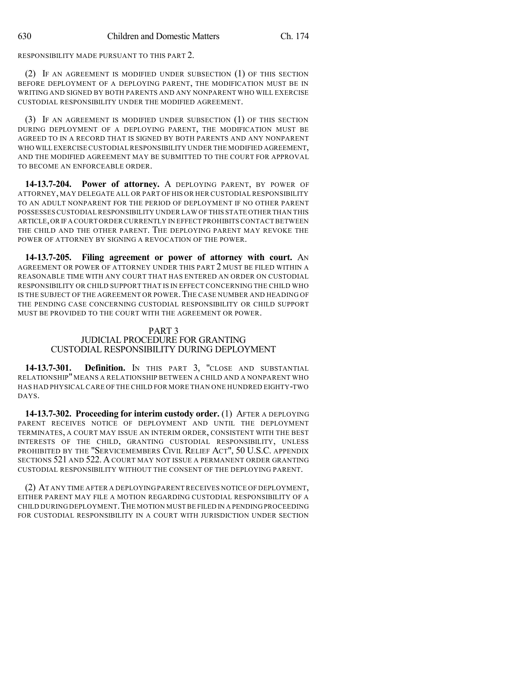RESPONSIBILITY MADE PURSUANT TO THIS PART 2.

(2) IF AN AGREEMENT IS MODIFIED UNDER SUBSECTION (1) OF THIS SECTION BEFORE DEPLOYMENT OF A DEPLOYING PARENT, THE MODIFICATION MUST BE IN WRITING AND SIGNED BY BOTH PARENTS AND ANY NONPARENT WHO WILL EXERCISE CUSTODIAL RESPONSIBILITY UNDER THE MODIFIED AGREEMENT.

(3) IF AN AGREEMENT IS MODIFIED UNDER SUBSECTION (1) OF THIS SECTION DURING DEPLOYMENT OF A DEPLOYING PARENT, THE MODIFICATION MUST BE AGREED TO IN A RECORD THAT IS SIGNED BY BOTH PARENTS AND ANY NONPARENT WHO WILL EXERCISE CUSTODIAL RESPONSIBILITY UNDER THE MODIFIED AGREEMENT, AND THE MODIFIED AGREEMENT MAY BE SUBMITTED TO THE COURT FOR APPROVAL TO BECOME AN ENFORCEABLE ORDER.

**14-13.7-204. Power of attorney.** A DEPLOYING PARENT, BY POWER OF ATTORNEY, MAY DELEGATE ALL OR PART OF HIS OR HER CUSTODIAL RESPONSIBILITY TO AN ADULT NONPARENT FOR THE PERIOD OF DEPLOYMENT IF NO OTHER PARENT POSSESSES CUSTODIAL RESPONSIBILITY UNDER LAW OF THIS STATE OTHER THAN THIS ARTICLE,OR IFA COURT ORDER CURRENTLY IN EFFECT PROHIBITS CONTACT BETWEEN THE CHILD AND THE OTHER PARENT. THE DEPLOYING PARENT MAY REVOKE THE POWER OF ATTORNEY BY SIGNING A REVOCATION OF THE POWER.

**14-13.7-205. Filing agreement or power of attorney with court.** AN AGREEMENT OR POWER OF ATTORNEY UNDER THIS PART 2 MUST BE FILED WITHIN A REASONABLE TIME WITH ANY COURT THAT HAS ENTERED AN ORDER ON CUSTODIAL RESPONSIBILITY OR CHILD SUPPORT THAT IS IN EFFECT CONCERNING THE CHILD WHO IS THE SUBJECT OF THE AGREEMENT OR POWER.THE CASE NUMBER AND HEADING OF THE PENDING CASE CONCERNING CUSTODIAL RESPONSIBILITY OR CHILD SUPPORT MUST BE PROVIDED TO THE COURT WITH THE AGREEMENT OR POWER.

## PART 3 JUDICIAL PROCEDURE FOR GRANTING CUSTODIAL RESPONSIBILITY DURING DEPLOYMENT

**14-13.7-301. Definition.** IN THIS PART 3, "CLOSE AND SUBSTANTIAL RELATIONSHIP" MEANS A RELATIONSHIP BETWEEN A CHILD AND A NONPARENT WHO HAS HAD PHYSICALCARE OF THE CHILD FOR MORE THAN ONE HUNDRED EIGHTY-TWO DAYS.

**14-13.7-302. Proceeding for interim custody order.** (1) AFTER A DEPLOYING PARENT RECEIVES NOTICE OF DEPLOYMENT AND UNTIL THE DEPLOYMENT TERMINATES, A COURT MAY ISSUE AN INTERIM ORDER, CONSISTENT WITH THE BEST INTERESTS OF THE CHILD, GRANTING CUSTODIAL RESPONSIBILITY, UNLESS PROHIBITED BY THE "SERVICEMEMBERS CIVIL RELIEF ACT", 50 U.S.C. APPENDIX SECTIONS 521 AND 522. A COURT MAY NOT ISSUE A PERMANENT ORDER GRANTING CUSTODIAL RESPONSIBILITY WITHOUT THE CONSENT OF THE DEPLOYING PARENT.

(2) AT ANY TIME AFTER A DEPLOYING PARENT RECEIVES NOTICE OF DEPLOYMENT, EITHER PARENT MAY FILE A MOTION REGARDING CUSTODIAL RESPONSIBILITY OF A CHILD DURING DEPLOYMENT. THE MOTION MUST BE FILED IN A PENDING PROCEEDING FOR CUSTODIAL RESPONSIBILITY IN A COURT WITH JURISDICTION UNDER SECTION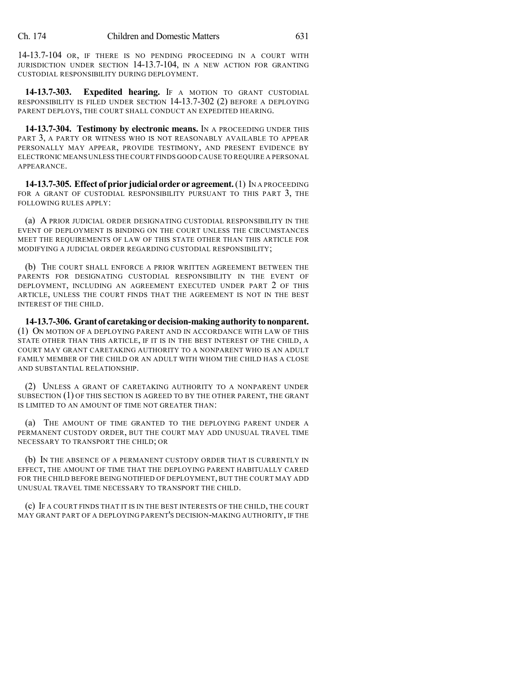14-13.7-104 OR, IF THERE IS NO PENDING PROCEEDING IN A COURT WITH JURISDICTION UNDER SECTION 14-13.7-104, IN A NEW ACTION FOR GRANTING CUSTODIAL RESPONSIBILITY DURING DEPLOYMENT.

**14-13.7-303. Expedited hearing.** IF A MOTION TO GRANT CUSTODIAL RESPONSIBILITY IS FILED UNDER SECTION 14-13.7-302 (2) BEFORE A DEPLOYING PARENT DEPLOYS, THE COURT SHALL CONDUCT AN EXPEDITED HEARING.

**14-13.7-304. Testimony by electronic means.** IN A PROCEEDING UNDER THIS PART 3, A PARTY OR WITNESS WHO IS NOT REASONABLY AVAILABLE TO APPEAR PERSONALLY MAY APPEAR, PROVIDE TESTIMONY, AND PRESENT EVIDENCE BY ELECTRONIC MEANS UNLESS THECOURT FINDS GOOD CAUSE TO REQUIRE A PERSONAL APPEARANCE.

**14-13.7-305. Effect of prior judicial orderor agreement.**(1) IN A PROCEEDING FOR A GRANT OF CUSTODIAL RESPONSIBILITY PURSUANT TO THIS PART 3, THE FOLLOWING RULES APPLY:

(a) A PRIOR JUDICIAL ORDER DESIGNATING CUSTODIAL RESPONSIBILITY IN THE EVENT OF DEPLOYMENT IS BINDING ON THE COURT UNLESS THE CIRCUMSTANCES MEET THE REQUIREMENTS OF LAW OF THIS STATE OTHER THAN THIS ARTICLE FOR MODIFYING A JUDICIAL ORDER REGARDING CUSTODIAL RESPONSIBILITY;

(b) THE COURT SHALL ENFORCE A PRIOR WRITTEN AGREEMENT BETWEEN THE PARENTS FOR DESIGNATING CUSTODIAL RESPONSIBILITY IN THE EVENT OF DEPLOYMENT, INCLUDING AN AGREEMENT EXECUTED UNDER PART 2 OF THIS ARTICLE, UNLESS THE COURT FINDS THAT THE AGREEMENT IS NOT IN THE BEST INTEREST OF THE CHILD.

**14-13.7-306. Grantof caretakingordecision-makingauthoritytononparent.** (1) ON MOTION OF A DEPLOYING PARENT AND IN ACCORDANCE WITH LAW OF THIS STATE OTHER THAN THIS ARTICLE, IF IT IS IN THE BEST INTEREST OF THE CHILD, A COURT MAY GRANT CARETAKING AUTHORITY TO A NONPARENT WHO IS AN ADULT FAMILY MEMBER OF THE CHILD OR AN ADULT WITH WHOM THE CHILD HAS A CLOSE AND SUBSTANTIAL RELATIONSHIP.

(2) UNLESS A GRANT OF CARETAKING AUTHORITY TO A NONPARENT UNDER SUBSECTION (1) OF THIS SECTION IS AGREED TO BY THE OTHER PARENT, THE GRANT IS LIMITED TO AN AMOUNT OF TIME NOT GREATER THAN:

(a) THE AMOUNT OF TIME GRANTED TO THE DEPLOYING PARENT UNDER A PERMANENT CUSTODY ORDER, BUT THE COURT MAY ADD UNUSUAL TRAVEL TIME NECESSARY TO TRANSPORT THE CHILD; OR

(b) IN THE ABSENCE OF A PERMANENT CUSTODY ORDER THAT IS CURRENTLY IN EFFECT, THE AMOUNT OF TIME THAT THE DEPLOYING PARENT HABITUALLY CARED FOR THE CHILD BEFORE BEING NOTIFIED OF DEPLOYMENT, BUT THE COURT MAY ADD UNUSUAL TRAVEL TIME NECESSARY TO TRANSPORT THE CHILD.

(c) IF A COURT FINDS THAT IT IS IN THE BEST INTERESTS OF THE CHILD, THE COURT MAY GRANT PART OF A DEPLOYING PARENT'S DECISION-MAKING AUTHORITY, IF THE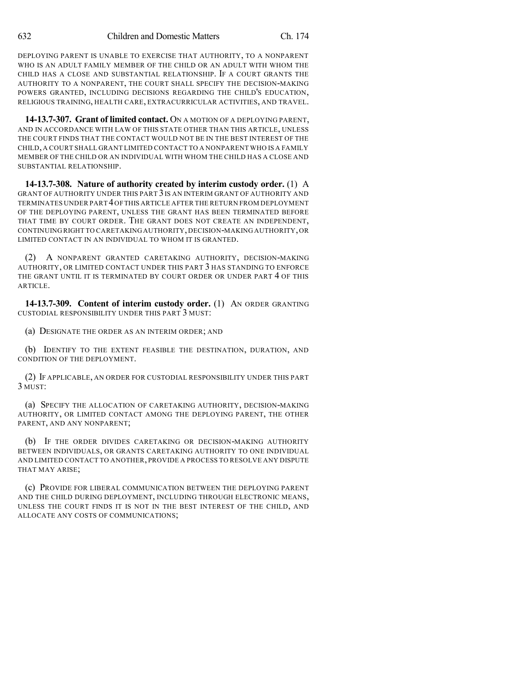DEPLOYING PARENT IS UNABLE TO EXERCISE THAT AUTHORITY, TO A NONPARENT WHO IS AN ADULT FAMILY MEMBER OF THE CHILD OR AN ADULT WITH WHOM THE CHILD HAS A CLOSE AND SUBSTANTIAL RELATIONSHIP. IF A COURT GRANTS THE AUTHORITY TO A NONPARENT, THE COURT SHALL SPECIFY THE DECISION-MAKING POWERS GRANTED, INCLUDING DECISIONS REGARDING THE CHILD'S EDUCATION, RELIGIOUS TRAINING, HEALTH CARE, EXTRACURRICULAR ACTIVITIES, AND TRAVEL.

**14-13.7-307. Grant of limited contact.** ON A MOTION OF A DEPLOYING PARENT, AND IN ACCORDANCE WITH LAW OF THIS STATE OTHER THAN THIS ARTICLE, UNLESS THE COURT FINDS THAT THE CONTACT WOULD NOT BE IN THE BEST INTEREST OF THE CHILD, A COURT SHALL GRANT LIMITED CONTACT TO A NONPARENT WHO IS A FAMILY MEMBER OF THE CHILD OR AN INDIVIDUAL WITH WHOM THE CHILD HAS A CLOSE AND SUBSTANTIAL RELATIONSHIP.

**14-13.7-308. Nature of authority created by interim custody order.** (1) A GRANT OF AUTHORITY UNDER THIS PART 3IS AN INTERIM GRANT OF AUTHORITY AND TERMINATES UNDER PART 4OFTHIS ARTICLE AFTER THE RETURN FROM DEPLOYMENT OF THE DEPLOYING PARENT, UNLESS THE GRANT HAS BEEN TERMINATED BEFORE THAT TIME BY COURT ORDER. THE GRANT DOES NOT CREATE AN INDEPENDENT, CONTINUING RIGHT TO CARETAKING AUTHORITY, DECISION-MAKING AUTHORITY,OR LIMITED CONTACT IN AN INDIVIDUAL TO WHOM IT IS GRANTED.

(2) A NONPARENT GRANTED CARETAKING AUTHORITY, DECISION-MAKING AUTHORITY, OR LIMITED CONTACT UNDER THIS PART 3 HAS STANDING TO ENFORCE THE GRANT UNTIL IT IS TERMINATED BY COURT ORDER OR UNDER PART 4 OF THIS ARTICLE.

**14-13.7-309. Content of interim custody order.** (1) AN ORDER GRANTING CUSTODIAL RESPONSIBILITY UNDER THIS PART 3 MUST:

(a) DESIGNATE THE ORDER AS AN INTERIM ORDER; AND

(b) IDENTIFY TO THE EXTENT FEASIBLE THE DESTINATION, DURATION, AND CONDITION OF THE DEPLOYMENT.

(2) IF APPLICABLE, AN ORDER FOR CUSTODIAL RESPONSIBILITY UNDER THIS PART 3 MUST:

(a) SPECIFY THE ALLOCATION OF CARETAKING AUTHORITY, DECISION-MAKING AUTHORITY, OR LIMITED CONTACT AMONG THE DEPLOYING PARENT, THE OTHER PARENT, AND ANY NONPARENT;

(b) IF THE ORDER DIVIDES CARETAKING OR DECISION-MAKING AUTHORITY BETWEEN INDIVIDUALS, OR GRANTS CARETAKING AUTHORITY TO ONE INDIVIDUAL AND LIMITED CONTACT TO ANOTHER, PROVIDE A PROCESS TO RESOLVE ANY DISPUTE THAT MAY ARISE;

(c) PROVIDE FOR LIBERAL COMMUNICATION BETWEEN THE DEPLOYING PARENT AND THE CHILD DURING DEPLOYMENT, INCLUDING THROUGH ELECTRONIC MEANS, UNLESS THE COURT FINDS IT IS NOT IN THE BEST INTEREST OF THE CHILD, AND ALLOCATE ANY COSTS OF COMMUNICATIONS;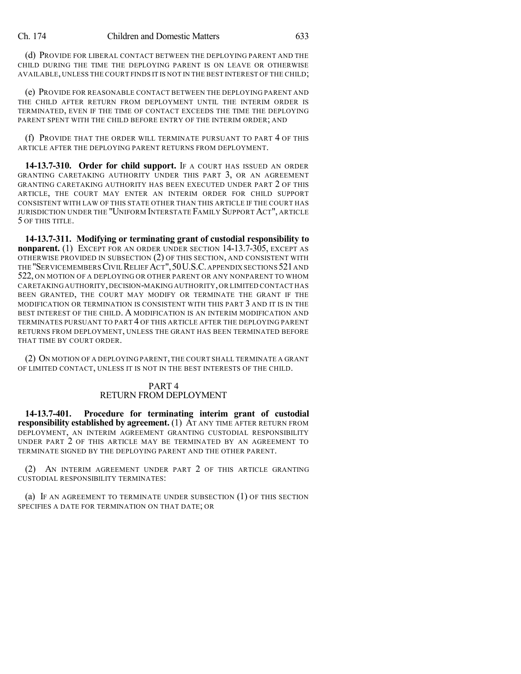(d) PROVIDE FOR LIBERAL CONTACT BETWEEN THE DEPLOYING PARENT AND THE CHILD DURING THE TIME THE DEPLOYING PARENT IS ON LEAVE OR OTHERWISE AVAILABLE, UNLESS THE COURT FINDS IT IS NOT IN THE BEST INTEREST OF THE CHILD;

(e) PROVIDE FOR REASONABLE CONTACT BETWEEN THE DEPLOYING PARENT AND THE CHILD AFTER RETURN FROM DEPLOYMENT UNTIL THE INTERIM ORDER IS TERMINATED, EVEN IF THE TIME OF CONTACT EXCEEDS THE TIME THE DEPLOYING PARENT SPENT WITH THE CHILD BEFORE ENTRY OF THE INTERIM ORDER; AND

(f) PROVIDE THAT THE ORDER WILL TERMINATE PURSUANT TO PART 4 OF THIS ARTICLE AFTER THE DEPLOYING PARENT RETURNS FROM DEPLOYMENT.

**14-13.7-310. Order for child support.** IF A COURT HAS ISSUED AN ORDER GRANTING CARETAKING AUTHORITY UNDER THIS PART 3, OR AN AGREEMENT GRANTING CARETAKING AUTHORITY HAS BEEN EXECUTED UNDER PART 2 OF THIS ARTICLE, THE COURT MAY ENTER AN INTERIM ORDER FOR CHILD SUPPORT CONSISTENT WITH LAW OF THIS STATE OTHER THAN THIS ARTICLE IF THE COURT HAS JURISDICTION UNDER THE "UNIFORM INTERSTATE FAMILY SUPPORT ACT", ARTICLE 5 OF THIS TITLE.

**14-13.7-311. Modifying or terminating grant of custodial responsibility to nonparent.** (1) EXCEPT FOR AN ORDER UNDER SECTION 14-13.7-305, EXCEPT AS OTHERWISE PROVIDED IN SUBSECTION (2) OF THIS SECTION, AND CONSISTENT WITH THE "SERVICEMEMBERS CIVIL RELIEF ACT", 50 U.S.C. APPENDIX SECTIONS 521 AND 522, ON MOTION OF A DEPLOYING OR OTHER PARENT OR ANY NONPARENT TO WHOM CARETAKING AUTHORITY,DECISION-MAKING AUTHORITY,OR LIMITED CONTACT HAS BEEN GRANTED, THE COURT MAY MODIFY OR TERMINATE THE GRANT IF THE MODIFICATION OR TERMINATION IS CONSISTENT WITH THIS PART 3 AND IT IS IN THE BEST INTEREST OF THE CHILD. A MODIFICATION IS AN INTERIM MODIFICATION AND TERMINATES PURSUANT TO PART 4 OF THIS ARTICLE AFTER THE DEPLOYING PARENT RETURNS FROM DEPLOYMENT, UNLESS THE GRANT HAS BEEN TERMINATED BEFORE THAT TIME BY COURT ORDER.

(2) ON MOTION OF A DEPLOYING PARENT, THE COURT SHALL TERMINATE A GRANT OF LIMITED CONTACT, UNLESS IT IS NOT IN THE BEST INTERESTS OF THE CHILD.

#### PART 4 RETURN FROM DEPLOYMENT

**14-13.7-401. Procedure for terminating interim grant of custodial responsibility established by agreement.** (1) AT ANY TIME AFTER RETURN FROM DEPLOYMENT, AN INTERIM AGREEMENT GRANTING CUSTODIAL RESPONSIBILITY UNDER PART 2 OF THIS ARTICLE MAY BE TERMINATED BY AN AGREEMENT TO TERMINATE SIGNED BY THE DEPLOYING PARENT AND THE OTHER PARENT.

(2) AN INTERIM AGREEMENT UNDER PART 2 OF THIS ARTICLE GRANTING CUSTODIAL RESPONSIBILITY TERMINATES:

(a) IF AN AGREEMENT TO TERMINATE UNDER SUBSECTION (1) OF THIS SECTION SPECIFIES A DATE FOR TERMINATION ON THAT DATE; OR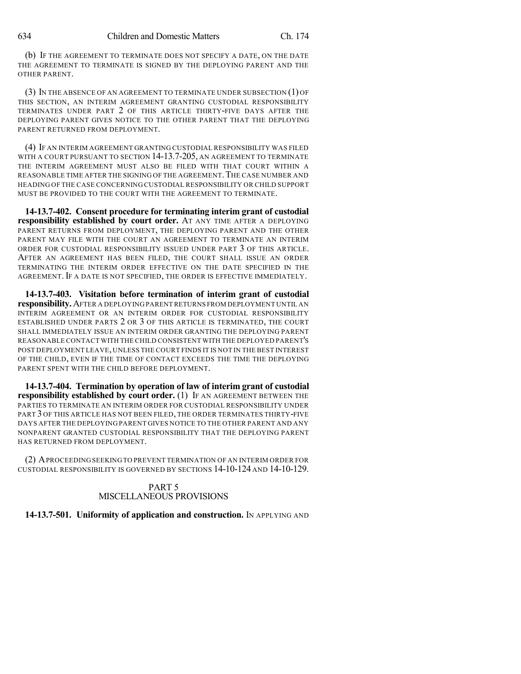(b) IF THE AGREEMENT TO TERMINATE DOES NOT SPECIFY A DATE, ON THE DATE THE AGREEMENT TO TERMINATE IS SIGNED BY THE DEPLOYING PARENT AND THE OTHER PARENT.

(3) IN THE ABSENCE OF AN AGREEMENT TO TERMINATE UNDER SUBSECTION (1) OF THIS SECTION, AN INTERIM AGREEMENT GRANTING CUSTODIAL RESPONSIBILITY TERMINATES UNDER PART 2 OF THIS ARTICLE THIRTY-FIVE DAYS AFTER THE DEPLOYING PARENT GIVES NOTICE TO THE OTHER PARENT THAT THE DEPLOYING PARENT RETURNED FROM DEPLOYMENT.

(4) IF AN INTERIM AGREEMENT GRANTING CUSTODIAL RESPONSIBILITY WAS FILED WITH A COURT PURSUANT TO SECTION 14-13.7-205, AN AGREEMENT TO TERMINATE THE INTERIM AGREEMENT MUST ALSO BE FILED WITH THAT COURT WITHIN A REASONABLE TIME AFTER THE SIGNING OF THE AGREEMENT. THE CASE NUMBER AND HEADING OF THE CASE CONCERNING CUSTODIAL RESPONSIBILITY OR CHILD SUPPORT MUST BE PROVIDED TO THE COURT WITH THE AGREEMENT TO TERMINATE.

**14-13.7-402. Consent procedure for terminating interim grant of custodial responsibility established by court order.** AT ANY TIME AFTER A DEPLOYING PARENT RETURNS FROM DEPLOYMENT, THE DEPLOYING PARENT AND THE OTHER PARENT MAY FILE WITH THE COURT AN AGREEMENT TO TERMINATE AN INTERIM ORDER FOR CUSTODIAL RESPONSIBILITY ISSUED UNDER PART 3 OF THIS ARTICLE. AFTER AN AGREEMENT HAS BEEN FILED, THE COURT SHALL ISSUE AN ORDER TERMINATING THE INTERIM ORDER EFFECTIVE ON THE DATE SPECIFIED IN THE AGREEMENT. IF A DATE IS NOT SPECIFIED, THE ORDER IS EFFECTIVE IMMEDIATELY.

**14-13.7-403. Visitation before termination of interim grant of custodial responsibility.**AFTER A DEPLOYING PARENT RETURNS FROM DEPLOYMENT UNTIL AN INTERIM AGREEMENT OR AN INTERIM ORDER FOR CUSTODIAL RESPONSIBILITY ESTABLISHED UNDER PARTS 2 OR 3 OF THIS ARTICLE IS TERMINATED, THE COURT SHALL IMMEDIATELY ISSUE AN INTERIM ORDER GRANTING THE DEPLOYING PARENT REASONABLE CONTACT WITH THE CHILD CONSISTENT WITH THE DEPLOYED PARENT'S POST DEPLOYMENT LEAVE, UNLESS THE COURT FINDS IT IS NOT IN THE BEST INTEREST OF THE CHILD, EVEN IF THE TIME OF CONTACT EXCEEDS THE TIME THE DEPLOYING PARENT SPENT WITH THE CHILD BEFORE DEPLOYMENT.

**14-13.7-404. Termination by operation of law of interim grant of custodial responsibility established by court order.** (1) IF AN AGREEMENT BETWEEN THE PARTIES TO TERMINATE AN INTERIM ORDER FOR CUSTODIAL RESPONSIBILITY UNDER PART 3 OF THIS ARTICLE HAS NOT BEEN FILED, THE ORDER TERMINATES THIRTY-FIVE DAYS AFTER THE DEPLOYING PARENT GIVES NOTICE TO THE OTHER PARENT AND ANY NONPARENT GRANTED CUSTODIAL RESPONSIBILITY THAT THE DEPLOYING PARENT HAS RETURNED FROM DEPLOYMENT.

(2) APROCEEDING SEEKING TO PREVENT TERMINATION OF AN INTERIM ORDER FOR CUSTODIAL RESPONSIBILITY IS GOVERNED BY SECTIONS 14-10-124 AND 14-10-129.

### PART 5 MISCELLANEOUS PROVISIONS

**14-13.7-501. Uniformity of application and construction.** IN APPLYING AND